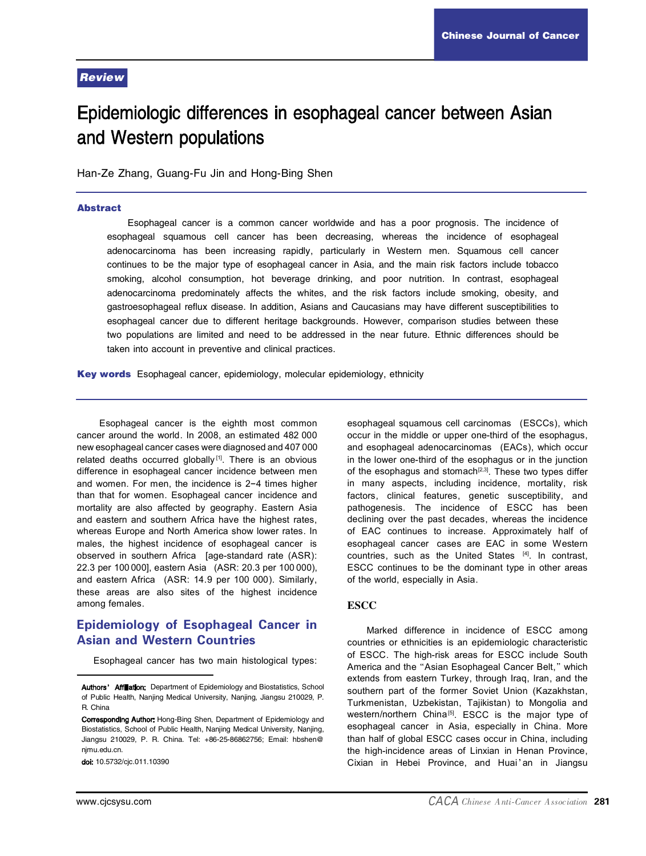#### Review

# Epidemiologic differences in esophageal cancer between Asian and Western populations

Han-Ze Zhang, Guang-Fu Jin and Hong-Bing Shen

#### Abstract

Esophageal cancer is a common cancer worldwide and has a poor prognosis. The incidence of esophageal squamous cell cancer has been decreasing, whereas the incidence of esophageal adenocarcinoma has been increasing rapidly, particularly in Western men. Squamous cell cancer continues to be the major type of esophageal cancer in Asia, and the main risk factors include tobacco smoking, alcohol consumption, hot beverage drinking, and poor nutrition. In contrast, esophageal adenocarcinoma predominately affects the whites, and the risk factors include smoking, obesity, and gastroesophageal reflux disease. In addition, Asians and Caucasians may have different susceptibilities to esophageal cancer due to different heritage backgrounds. However, comparison studies between these two populations are limited and need to be addressed in the near future. Ethnic differences should be taken into account in preventive and clinical practices.

Key words Esophageal cancer, epidemiology, molecular epidemiology, ethnicity

Esophageal cancer is the eighth most common cancer around the world. In 2008, an estimated 482 000 new esophageal cancer cases were diagnosed and 407 000 related deaths occurred globally<sup>[1]</sup>. There is an obvious difference in esophageal cancer incidence between men and women. For men, the incidence is  $2-4$  times higher than that for women. Esophageal cancer incidence and mortality are also affected by geography. Eastern Asia and eastern and southern Africa have the highest rates, whereas Europe and North America show lower rates. In males, the highest incidence of esophageal cancer is observed in southern Africa [age-standard rate (ASR): 22.3 per 100 000], eastern Asia (ASR: 20.3 per 100 000), and eastern Africa (ASR: 14.9 per 100 000). Similarly, these areas are also sites of the highest incidence among females.

## Epidemiology of Esophageal Cancer in Asian and Western Countries

Esophageal cancer has two main histological types:

esophageal squamous cell carcinomas (ESCCs), which occur in the middle or upper one-third of the esophagus, and esophageal adenocarcinomas (EACs), which occur in the lower one-third of the esophagus or in the junction of the esophagus and stomach<sup>[2,3]</sup>. These two types differ in many aspects, including incidence, mortality, risk factors, clinical features, genetic susceptibility, and pathogenesis. The incidence of ESCC has been declining over the past decades, whereas the incidence of EAC continues to increase. Approximately half of esophageal cancer cases are EAC in some Western countries, such as the United States [4] . In contrast, ESCC continues to be the dominant type in other areas of the world, especially in Asia.

#### **ESCC**

Marked difference in incidence of ESCC among countries or ethnicities is an epidemiologic characteristic of ESCC. The high-risk areas for ESCC include South America and the "Asian Esophageal Cancer Belt," which extends from eastern Turkey, through Iraq, Iran, and the southern part of the former Soviet Union (Kazakhstan, Turkmenistan, Uzbekistan, Tajikistan) to Mongolia and western/northern China<sup>[5]</sup>. ESCC is the major type of esophageal cancer in Asia, especially in China. More than half of global ESCC cases occur in China, including the high-incidence areas of Linxian in Henan Province. Cixian in Hebei Province, and Huai'an in Jiangsu

Authors' Affiliation: Department of Epidemiology and Biostatistics, School of Public Health, Nanjing Medical University, Nanjing, Jiangsu 210029, P.<br>R. China<br>Corresponding Author: Hong-Bing Shen, Department of Epidemiology and

Biostatistics, School of Public Health, Nanjing Medical University, Nanjing, Jiangsu 210029, P. R. China. Tel: +86-25-86862756; Email: hbshen@ njmu.edu.cn.<br>**doi:** 10.5732/cjc.011.10390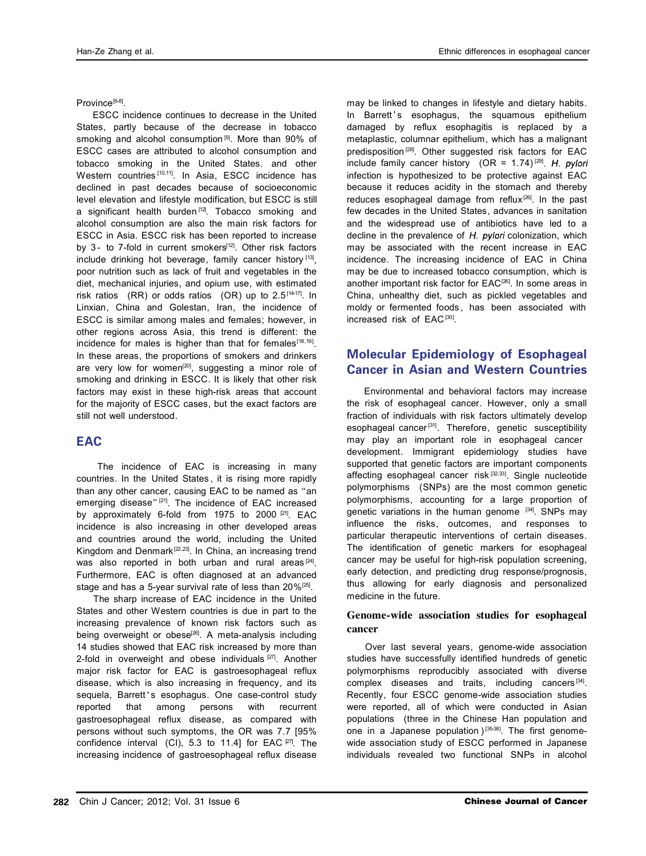Province<sup>[6-8]</sup>

ESCC incidence continues to decrease in the United States, partly because of the decrease in tobacco smoking and alcohol consumption<sup>[9]</sup>. More than 90% of ESCC cases are attributed to alcohol consumption and tobacco smoking in the United States. and other Western countries [10,11]. In Asia, ESCC incidence has declined in past decades because of socioeconomic level elevation and lifestyle modification, but ESCC is still a significant health burden  $[12]$ . Tobacco smoking and alcohol consumption are also the main risk factors for ESCC in Asia. ESCC risk has been reported to increase by 3- to 7-fold in current smokers $[12]$ . Other risk factors include drinking hot beverage, family cancer history  $[13]$ , poor nutrition such as lack of fruit and vegetables in the diet, mechanical injuries, and opium use, with estimated risk ratios (RR) or odds ratios (OR) up to  $2.5^{[14-17]}$ . In Linxian, China and Golestan, Iran, the incidence of ESCC is similar among males and females; however, in other regions across Asia, this trend is different: the incidence for males is higher than that for females $[18,19]$ . In these areas, the proportions of smokers and drinkers are very low for women<sup>[20]</sup>, suggesting a minor role of smoking and drinking in ESCC. It is likely that other risk factors may exist in these high-risk areas that account for the majority of ESCC cases, but the exact factors are still not well understood.

## **EAC**

The incidence of EAC is increasing in many countries. In the United States , it is rising more rapidly than any other cancer, causing EAC to be named as "an emerging disease"<sup>[21]</sup>. The incidence of EAC increased by approximately 6-fold from 1975 to 2000  $[21]$ . EAC incidence is also increasing in other developed areas and countries around the world, including the United Kingdom and Denmark<sup>[22,23]</sup>. In China, an increasing trend was also reported in both urban and rural areas<sup>[24]</sup>. Furthermore, EAC is often diagnosed at an advanced stage and has a 5-year survival rate of less than  $20\%^{[25]}$ .

The sharp increase of EAC incidence in the United States and other Western countries is due in part to the increasing prevalence of known risk factors such as being overweight or obese<sup>[26]</sup>. A meta-analysis including 14 studies showed that EAC risk increased by more than 2-fold in overweight and obese individuals [27]. Another major risk factor for EAC is gastroesophageal reflux disease, which is also increasing in frequency, and its sequela, Barrett's esophagus. One case-control study reported that among persons with recurrent that among persons gastroesophageal reflux disease, as compared with persons without such symptoms, the OR was 7.7 [95% confidence interval (CI), 5.3 to 11.4] for EAC  $P77$ . The increasing incidence of gastroesophageal reflux disease may be linked to changes in lifestyle and dietary habits. In Barrett's esophagus, the squamous epithelium damaged by reflux esophagitis is replaced by a metaplastic, columnar epithelium, which has a malignant predisposition<sup>[28]</sup>. Other suggested risk factors for EAC include family cancer history (OR =  $1.74$ )<sup>[29]</sup>. H. pylori infection is hypothesized to be protective against EAC because it reduces acidity in the stomach and thereby reduces esophageal damage from reflux<sup>[26]</sup>. In the past few decades in the United States, advances in sanitation and the widespread use of antibiotics have led to a decline in the prevalence of  $H$ . pylori colonization, which may be associated with the recent increase in EAC incidence. The increasing incidence of EAC in China may be due to increased tobacco consumption, which is another important risk factor for EAC<sup>[26]</sup>. In some areas in China, unhealthy diet, such as pickled vegetables and moldy or fermented foods , has been associated with increased risk of EAC [30] .

# Molecular Epidemiology of Esophageal Cancer in Asian and Western Countries

Environmental and behavioral factors may increase the risk of esophageal cancer. However, only a small fraction of individuals with risk factors ultimately develop esophageal cancer<sup>[31]</sup>. Therefore, genetic susceptibility may play an important role in esophageal cancer development. Immigrant epidemiology studies have supported that genetic factors are important components affecting esophageal cancer risk [32,33]. Single nucleotide polymorphisms (SNPs) are the most common genetic polymorphisms, accounting for a large proportion of genetic variations in the human genome [34]. SNPs may influence the risks, outcomes, and responses to particular therapeutic interventions of certain diseases. The identification of genetic markers for esophageal cancer may be useful for high-risk population screening, early detection, and predicting drug response/prognosis, thus allowing for early diagnosis and personalized medicine in the future.

#### Genome-wide association studies for esophageal cancer

Over last several years, genome-wide association studies have successfully identified hundreds of genetic polymorphisms reproducibly associated with diverse complex diseases and traits, including cancers [34]. Recently, four ESCC genome-wide association studies were reported, all of which were conducted in Asian populations (three in the Chinese Han population and one in a Japanese population  $[35-38]$ . The first genomewide association study of ESCC performed in Japanese individuals revealed two functional SNPs in alcohol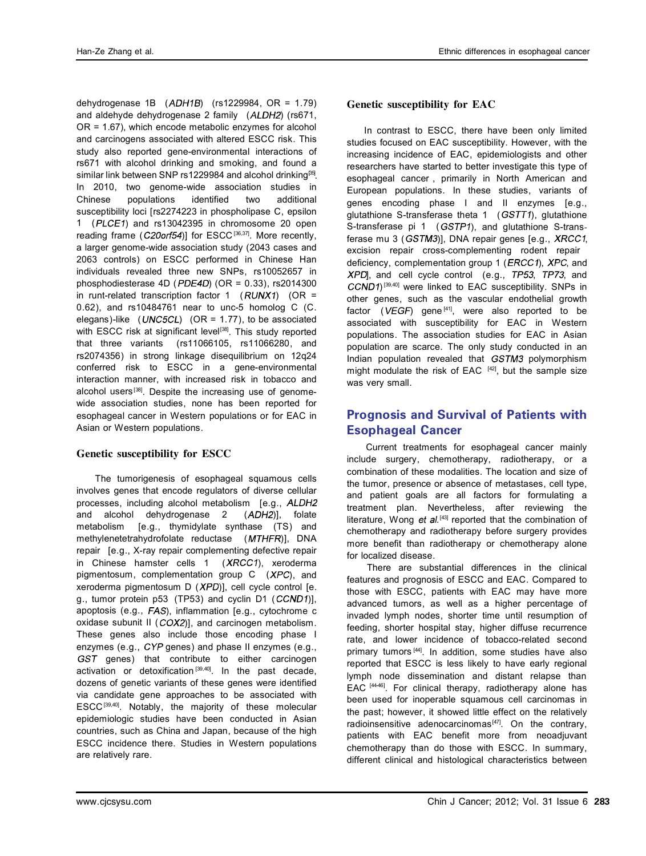dehydrogenase  $1B$  ( $ADH1B$ ) (rs1229984, OR = 1.79) and aldehyde dehydrogenase 2 family  $(ALDH2)$  (rs671, OR = 1.67), which encode metabolic enzymes for alcohol and carcinogens associated with altered ESCC risk. This study also reported gene-environmental interactions of rs671 with alcohol drinking and smoking, and found a similar link between SNP rs1229984 and alcohol drinking<sup>[35]</sup>. In 2010, two genome-wide association studies in Chinese populations identified two additional susceptibility loci [rs2274223 in phospholipase C, epsilon 1 ( $PLCE1$ ) and rs13042395 in chromosome 20 open reading frame ( $C20$ orf54)] for ESCC [36,37]. More recently, a larger genome-wide association study (2043 cases and 2063 controls) on ESCC performed in Chinese Han individuals revealed three new SNPs, rs10052657 in phosphodiesterase 4D ( $PDE4D$ ) (OR = 0.33), rs2014300 in runt-related transcription factor 1  $(RUNX1)$  (OR = 0.62), and  $rs10484761$  near to unc-5 homolog C (C. elegans)-like (  $UNC5CL$ ) (OR = 1.77), to be associated with ESCC risk at significant level<sup>[38]</sup>. This study reported that three variants (rs11066105, rs11066280, and rs2074356) in strong linkage disequilibrium on 12q24 conferred risk to ESCC in a gene-environmental interaction manner, with increased risk in tobacco and alcohol users<sup>[38]</sup>. Despite the increasing use of genomewide association studies, none has been reported for esophageal cancer in Western populations or for EAC in Asian or Western populations.

#### Genetic susceptibility for ESCC

The tumorigenesis of esophageal squamous cells involves genes that encode regulators of diverse cellular processes, including alcohol metabolism [e.g., ALDH2] and alcohol dehydrogenase  $2$   $(ADH2)$ ], folate metabolism [e.g., thymidylate synthase (TS) and methylenetetrahydrofolate reductase (MTHFR)], DNA repair [e.g., X-ray repair complementing defective repair in Chinese hamster cells  $1$  (*XRCC1*), xeroderma pigmentosum, complementation group  $C$  (*XPC*), and xeroderma pigmentosum  $D$  ( $XPD$ )], cell cycle control [e. q., tumor protein  $p53$  (TP53) and cyclin D1 ( $CCND1$ )], apoptosis (e.g.,  $FAS$ ), inflammation [e.g., cytochrome c oxidase subunit II  $(COX2)$ ], and carcinogen metabolism. These genes also include those encoding phase I enzymes (e.g.,  $CYP$  genes) and phase II enzymes (e.g., GST genes) that contribute to either carcinogen activation or detoxification<sup>[39,40]</sup>. In the past decade, dozens of genetic variants of these genes were identified via candidate gene approaches to be associated with ESCC [39,40] . Notably, the majority of these molecular epidemiologic studies have been conducted in Asian countries, such as China and Japan, because of the high ESCC incidence there. Studies in Western populations are relatively rare.

### Genetic susceptibility for EAC

In contrast to ESCC, there have been only limited studies focused on EAC susceptibility. However, with the increasing incidence of EAC, epidemiologists and other researchers have started to better investigate this type of esophageal cancer , primarily in North American and European populations. In these studies, variants of genes encoding phase I and II enzymes [e.g., glutathione S-transferase theta 1  $(GSTT1)$ , glutathione S-transferase pi 1 (GSTP1), and glutathione S-transferase mu 3 ( $GSTM3$ )], DNA repair genes [e.g.,  $XRCC1$ , excision repair cross-complementing rodent repair deficiency, complementation group 1 ( $E R C C 1$ ),  $X P C$ , and XPD], and cell cycle control (e.g., TP53, TP73, and  $CCND1$ )<sup>[39,40]</sup> were linked to EAC susceptibility. SNPs in other genes, such as the vascular endothelial growth factor ( $VEGF$ ) gene<sup>[41]</sup>, were also reported to be associated with susceptibility for EAC in Western populations. The association studies for EAC in Asian population are scarce. The only study conducted in an Indian population revealed that GSTM3 polymorphism might modulate the risk of EAC  $[42]$ , but the sample size was very small.

# Prognosis and Survival of Patients with Esophageal Cancer

Current treatments for esophageal cancer mainly include surgery, chemotherapy, radiotherapy, or a combination of these modalities. The location and size of the tumor, presence or absence of metastases, cell type, and patient goals are all factors for formulating a treatment plan. Nevertheless, after reviewing the literature, Wong et al.<sup>[43]</sup> reported that the combination of chemotherapy and radiotherapy before surgery provides more benefit than radiotherapy or chemotherapy alone for localized disease.

There are substantial differences in the clinical features and prognosis of ESCC and EAC. Compared to those with ESCC, patients with EAC may have more advanced tumors, as well as a higher percentage of invaded lymph nodes, shorter time until resumption of feeding, shorter hospital stay, higher diffuse recurrence rate, and lower incidence of tobacco-related second primary tumors [44]. In addition, some studies have also reported that ESCC is less likely to have early regional lymph node dissemination and distant relapse than EAC [4446]. For clinical therapy, radiotherapy alone has been used for inoperable squamous cell carcinomas in the past; however, it showed little effect on the relatively radioinsensitive adenocarcinomas<sup>[47]</sup>. On the contrary, patients with EAC benefit more from neoadjuvant chemotherapy than do those with ESCC. In summary, different clinical and histological characteristics between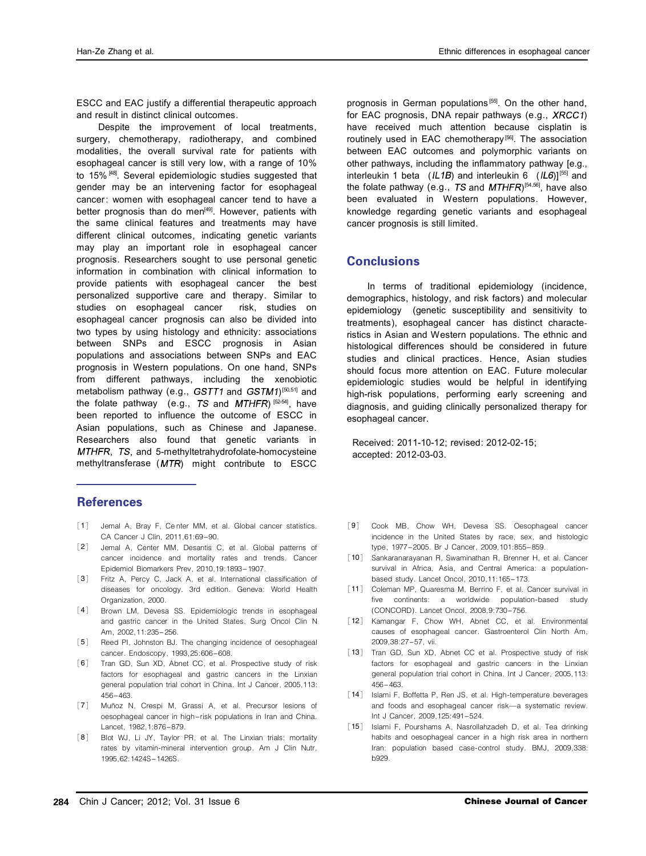ESCC and EAC justify a differential therapeutic approach and result in distinct clinical outcomes.

Despite the improvement of local treatments, surgery, chemotherapy, radiotherapy, and combined modalities, the overall survival rate for patients with esophageal cancer is still very low, with a range of 10% to 15% [48]. Several epidemiologic studies suggested that gender may be an intervening factor for esophageal cancer: women with esophageal cancer tend to have a better prognosis than do men<sup>[49]</sup>. However, patients with the same clinical features and treatments may have different clinical outcomes, indicating genetic variants may play an important role in esophageal cancer prognosis. Researchers sought to use personal genetic information in combination with clinical information to provide patients with esophageal cancer the best personalized supportive care and therapy. Similar to studies on esophageal cancer risk, studies on esophageal cancer prognosis can also be divided into two types by using histology and ethnicity: associations between SNPs and ESCC prognosis in Asian populations and associations between SNPs and EAC prognosis in Western populations. On one hand, SNPs from different pathways, including the xenobiotic metabolism pathway (e.g.,  $GSTT1$  and  $GSTM1$ )<sup>[50,51]</sup> and the folate pathway (e.g.,  $TS$  and  $MTHFR$ )  $[52-54]$ , have been reported to influence the outcome of ESCC in Asian populations, such as Chinese and Japanese. Researchers also found that genetic variants in MTHFR, TS, and 5-methyltetrahydrofolate-homocysteine methyltransferase  $(MTR)$  might contribute to ESCC

## **References**

- [1] Jemal A, Bray F, Center MM, et al. Global cancer statistics.<br>CA Cancer J Clin, 2011,61:69-90.
- [2] Jemal A, Center MM, Desantis C, et al. Global patterns of cancer incidence and mortality rates and trends. Cancer a, Cancer M, Desamtis C, et al. Global patterns of cancer
- 咱3暂 Epidemiol Biomarkers Prev, 2010,19:1893-1907. Fritz A, Percy C, Jack A, et al. International classification of diseases for oncology. 3rd edition. Geneva: World Health Organization, 2000.<br>Brown LM, Devesa SS. Epidemiologic trends in esophageal
- [4] and gastric cancer in the United States. Surg Oncol Clin N
- Am, 2002,11:235-256.<br>[5] Reed PI, Johnston BJ. The changing incidence of oesophageal
- cancer. Endoscopy, 1993,25:606–608.<br>[6] Tran GD, Sun XD, Abnet CC, et al. Prospective study of risk
- $[7]$ factors for esophageal and gastric cancers in the Linxian<br>general population trial cohort in China. Int J Cancer, 2005,113:<br>456–463.<br>Muñoz N, Crespi M, Grassi A, et al. Precursor lesions of<br>oesophageal cancer in high-risk
- [8] Blot WJ, Li JY, Taylor PR, et al. The Linxian trials: mortality rates by vitamin-mineral intervention group. Am J Clin Nutr, 1995,62:1424S-1426S.

prognosis in German populations<sup>[55]</sup>. On the other hand, for EAC prognosis, DNA repair pathways (e.g.,  $XRCC1$ ) have received much attention because cisplatin is routinely used in EAC chemotherapy<sup>[56]</sup>. The association between EAC outcomes and polymorphic variants on other pathways, including the inflammatory pathway [e.g., interleukin 1 beta ( $|L1B|$ ) and interleukin 6 ( $|L6|$ ]<sup>[55]</sup> and the folate pathway (e.g., TS and  $MTHFR$ )<sup>[54,56]</sup>, have also been evaluated in Western populations. However, knowledge regarding genetic variants and esophageal cancer prognosis is still limited.

## **Conclusions**

In terms of traditional epidemiology (incidence, demographics, histology, and risk factors) and molecular epidemiology (genetic susceptibility and sensitivity to treatments), esophageal cancer has distinct characteristics in Asian and Western populations. The ethnic and histological differences should be considered in future studies and clinical practices. Hence, Asian studies should focus more attention on EAC. Future molecular epidemiologic studies would be helpful in identifying high-risk populations, performing early screening and diagnosis, and guiding clinically personalized therapy for esophageal cancer.

Received: 2011-10-12; revised: 2012-02-15; accepted: 2012-03-03.

- [9] Cook MB, Chow WH, Devesa SS. Oesophageal cancer incidence in the United States by race, sex, and histologic
- type, 1977–2005. Br J Cancer, 2009,101:855–859.<br>[10] Sankaranarayanan R, Swaminathan R, Brenner H, et al. Cancer survival in Africa, Asia, and Central America: a population-
- 咱11暂 based study. Lancet Oncol, 2010,11:165-173. Coleman MP, Quaresma M, Berrino F, et al. Cancer survival in five continents: a worldwide population-based study
- 咱12暂 (CONCORD). Lancet Oncol, 2008,9:730-756. Kamangar F, Chow WH, Abnet CC, et al. Environmental 咱13暂 causes of esophageal cancer. Gastroenterol Clin North Am, 2009,38:27-57, vii. Tran GD, Sun XD, Abnet CC et al. Prospective study of risk
- factors for esophageal and gastric cancers in the Linxian general population trial cohort in China. Int J Cancer, 2005,113: 456-463.
- [14] Islami F, Boffetta P, Ren JS, et al. High-temperature beverages and foods and esophageal cancer risk-a systematic review. Int J Cancer, 2009,125:491-524.
- [15] Islami F, Pourshams A, Nasrollahzadeh D, et al. Tea drinking habits and oesophageal cancer in a high risk area in northern Iran: population based case-control study. BMJ, 2009,338: b929.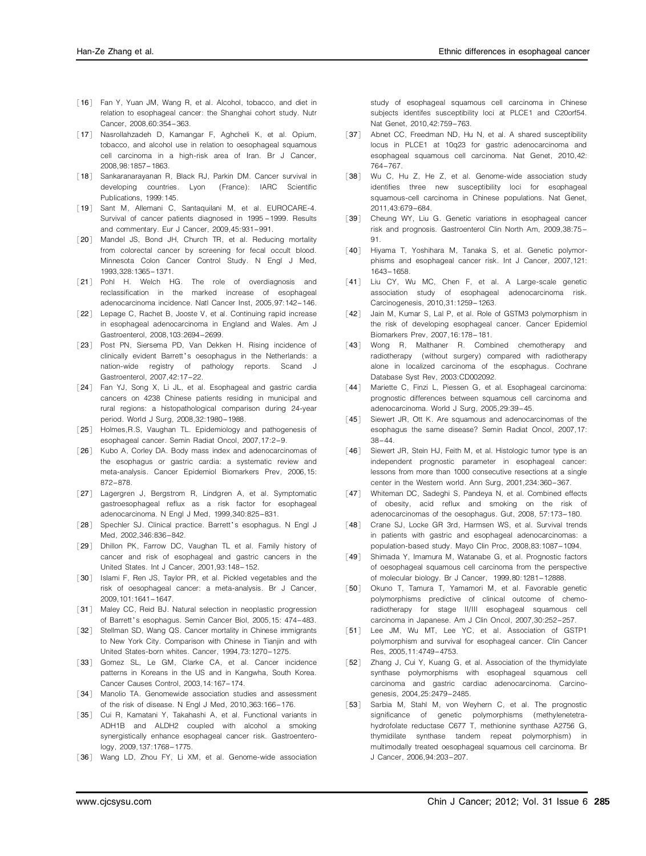- [16] Fan Y, Yuan JM, Wang R, et al. Alcohol, tobacco, and diet in relation to esophageal cancer: the Shanghai cohort study. Nutr
- 咱17暂 Cancer, 2008,60:354-363. Nasrollahzadeh D, Kamangar F, Aghcheli K, et al. Opium, tobacco, and alcohol use in relation to oesophageal squamous<br>cell carcinoma in a high-risk area of Iran. Br J Cancer,<br>2008,98:1857–1863.<br>Sankaranarayanan R, Black RJ, Parkin DM. Cancer survival in<br>developing countries. Lyo
- [18] Sankaranarayanan R, Black RJ, Parkin DM. Cancer survival in
- [19] Sant M. Allemani C. Santaquilani M. et al. EUROCARE-4.
- 咱20暂 and commentary. Eur <sup>J</sup> Cancer, 2009,45:931-991. Mandel JS, Bond JH, Church TR, et al. Reducing mortality from colorectal cancer by screening for fecal occult blood. Minnesota Colon Cancer Control Study. N Engl J Med, 1993,328:1365-1371.
- [21] Pohl H. Welch HG. The role of overdiagnosis and reclassification in the marked increase of esophageal
- 咱22暂 adenocarcinoma incidence. Natl Cancer Inst, 2005,97:142-146. Lepage C, Rachet B, Jooste V, et al. Continuing rapid increase in esophageal adenocarcinoma in England and Wales. Am J
- 咱23暂 Gastroenterol, 2008,103:2694-2699. Post PN, Siersema PD, Van Dekken H. Rising incidence of clinically evident Barrett's oesophagus in the Netherlands: a nation-wide registry of pathology reports. Scand J
- $[24]$  F Gastroenterol, 2007,42:17–22.<br>Fan YJ, Song X, Li JL, et al. Esophageal and gastric cardia<br>cancers on 4238 Chinese patients residing in municipal and rural regions: a histopathological comparison during 24-year<br>period. World J Surg, 2008,32:1980–1988.<br>Holmes,R.S, Vaughan TL. Epidemiology and pathogenesis of<br>esophageal cancer. Semin Radiat Oncol, 2007,17:2–9.<br>Kubo A, Cor
- $[25]$   $\vdash$
- [26] Kubo A, Corley DA. Body mass index and adenocarcinomas of the esophagus or gastric cardia: a systematic review and meta-analysis. Cancer Epidemiol Biomarkers Prev, 2006,15:<br>872–878.<br>Lagergren J, Bergstrom R, Lindgren A, et al. Symptomatic<br>gastroesophageal reflux as a risk factor for esophageal
- [27] Lagergren J, Bergstrom R, Lindgren A, et al. Symptomatic
- adenocarcinoma. N Engl J Med, 1999,340:825–831.<br>[28] Spechler SJ. Clinical practice. Barrett's esophagus. N Engl J
- $[29]$  D Med, 2002,346:836–842.<br>Dhillon PK, Farrow DC, Vaughan TL et al. Family history of<br>cancer and risk of esophageal and gastric cancers in the United States. Int J Cancer, 2001,93:148-152.
- [30] Islami F, Ren JS, Taylor PR, et al. Pickled vegetables and the
- [31] Maley CC, Reid BJ. Natural selection in neoplastic progression risk of oesophageal cancer: a meta-analysis. Br J Cancer,<br>2009,101:1641-1647.<br>[31] Maley CC, Reid BJ. Natural selection in neoplastic progression<br>of Barrett's esophagus. Semin Cancer Biol, 2005,15: 474-483.<br>[32] Stellman S
- to New York City. Comparison with Chinese in Tianjin and with
- United States-born whites. Cancer, 1994,73:1270–1275.<br>[33] Gomez SL, Le GM, Clarke CA, et al. Cancer incidence patterns in Koreans in the US and in Kangwha, South Korea.<br>Cancer Causes Control, 2003,14:167–174.<br>[34] Manolio TA. Genomewide association studies and assessment
- 
- [35] Cui R, Kamatani Y, Takahashi A, et al. Functional variants in of the risk of disease. N Engl J Med, 2010,363:166-176.<br>Cui R, Kamatani Y, Takahashi A, et al. Functional variants in<br>ADH1B and ALDH2 coupled with alcohol a smoking<br>synergistically enhance esophageal cancer risk. Gastroent
- logy, 2009,137:1768-1775.<br>[36] Wang LD, Zhou FY, Li XM, et al. Genome-wide association

咱37暂 study of esophageal squamous cell carcinoma in Chinese subjects identifes susceptibility loci at PLCE1 and C20orf54. Nat Genet, 2010,42:759-763. Abnet CC, Freedman ND, Hu N, et al. A shared susceptibility

- locus in PLCE1 at 10q23 for gastric adenocarcinoma and esophageal squamous cell carcinoma. Nat Genet, 2010,42:  $764-767$ .
- [38] Wu C, Hu Z, He Z, et al. Genome-wide association study squamous-cell carcinoma in Chinese populations. Nat Genet,<br>2011,43:679-684.<br>[39] Cheung WY, Liu G. Genetic variations in esophageal cancer identifies three new susceptibility loci for esophageal
- risk and prognosis. Gastroenterol Clin North Am, 2009,38:75-<br>91.<br>[40] Hiyama T, Yoshihara M, Tanaka S, et al. Genetic polymor-
- 
- $[41]$   $\vert$ phisms and esophageal cancer risk. Int J Cancer, 2007,121:<br>1643–1658.<br>Liu CY, Wu MC, Chen F, et al. A Large-scale genetic<br>association study of esophageal adenocarcinoma risk.<br>Carcinogenesis, 2010,31:1259–1263.<br>Jain M, Kuma
- [42] Jain M, Kumar S, Lal P, et al. Role of GSTM3 polymorphism in the risk of developing esophageal cancer. Cancer Epidemiol
- 咱43暂 Biomarkers Prev, 2007,16:178-181. Wong R, Malthaner R. Combined chemotherapy and radiotherapy (without surgery) compared with radiotherapy
- $[44]$  | alone in localized carcinoma of the esophagus. Cochrane<br>Database Syst Rev, 2003:CD002092.<br>Mariette C, Finzi L, Piessen G, et al. Esophageal carcinoma:<br>prognostic differences between squamous cell carcinoma and
- [45] Siewert JR, Ott K. Are squamous and adenocarcinomas of the adenocarcinoma. World J Surg, 2005, 29:39–45.<br>Siewert JR, Ott K. Are squamous and adenocarcinomas of the esophagus the same disease? Semin Radiat Oncol, 2007, 17:<br>38–44
- [46] Siewert JR, Stein HJ, Feith M, et al. Histologic tumor type is an 咱47暂 lessons from more than 1000 consecutive resections at a single center in the Western world. Ann Surg, 2001,234:360-367. Whiteman DC, Sadeghi S, Pandeya N, et al. Combined effects independent prognostic parameter in esophageal cancer:
- of obesity, acid reflux and smoking on the risk of
- 咱48暂 adenocarcinomas of the oesophagus. Gut, 2008, 57:173-180. Crane SJ, Locke GR 3rd, Harmsen WS, et al. Survival trends in patients with gastric and esophageal adenocarcinomas: a<br>population-based study. Mayo Clin Proc, 2008,83:1087-1094.<br>[49] Shimada Y, Imamura M, Watanabe G, et al. Prognostic factors
- of oesophageal squamous cell carcinoma from the perspective<br>of molecular biology. Br J Cancer, 1999,80:1281–12888.<br>Okuno T, Tamura T, Yamamori M, et al. Favorable genetic<br>polymorphisms predictive of clinical outcome of che
- $[50]$  ( radiotherapy for stage II/III esophageal squamous cell
- 咱51暂 carcinoma in Japanese. Am J Clin Oncol, 2007,30:252-257. Lee JM, Wu MT, Lee YC, et al. Association of GSTP1 polymorphism and survival for esophageal cancer. Clin Cancer Res, 2005,11:4749-4753. Zhang J, Cui Y, Kuang G, et al. Association of the thymidylate synthase polymorphisms with esophageal squamous cell
- [52] Zhang J, Cui Y, Kuang G, et al. Association of the thymidylate carcinoma and gastric cardiac adenocarcinoma. Carcino-
- [53] Sarbia M, Stahl M, von Weyhern C, et al. The prognostic genesis, 2004, 25: 2479-2485.<br>
Sarbia M, Stahl M, von Weyhern C, et al. The prognostic<br>

significance of genetic polymorphisms (methylenetetrahydrofolate reductase C677 T, methionine synthase A2756 G, thymidilate synthase tandem repeat polymorphism) in multimodally treated oesophageal squamous cell carcinoma. Br J Cancer, 2006,94:203-207.